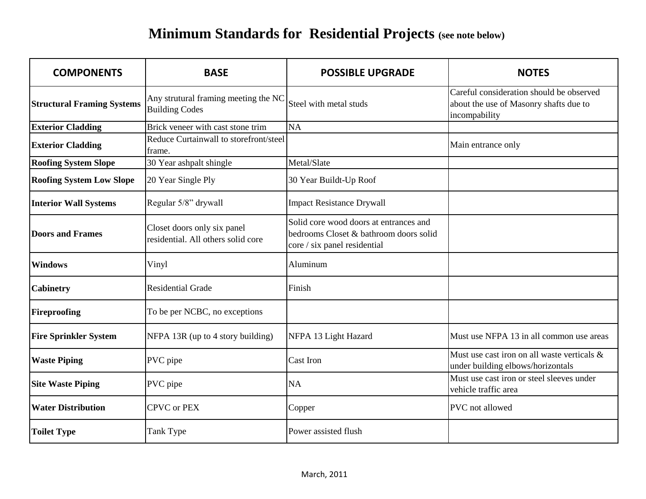## **Minimum Standards for Residential Projects (see note below)**

| <b>COMPONENTS</b>                 | <b>BASE</b>                                                       | <b>POSSIBLE UPGRADE</b>                                                                                          | <b>NOTES</b>                                                                                        |
|-----------------------------------|-------------------------------------------------------------------|------------------------------------------------------------------------------------------------------------------|-----------------------------------------------------------------------------------------------------|
| <b>Structural Framing Systems</b> | Any strutural framing meeting the NC<br><b>Building Codes</b>     | Steel with metal studs                                                                                           | Careful consideration should be observed<br>about the use of Masonry shafts due to<br>incompability |
| <b>Exterior Cladding</b>          | Brick veneer with cast stone trim                                 | <b>NA</b>                                                                                                        |                                                                                                     |
| <b>Exterior Cladding</b>          | Reduce Curtainwall to storefront/steel<br>frame.                  |                                                                                                                  | Main entrance only                                                                                  |
| <b>Roofing System Slope</b>       | 30 Year ashpalt shingle                                           | Metal/Slate                                                                                                      |                                                                                                     |
| <b>Roofing System Low Slope</b>   | 20 Year Single Ply                                                | 30 Year Buildt-Up Roof                                                                                           |                                                                                                     |
| <b>Interior Wall Systems</b>      | Regular 5/8" drywall                                              | <b>Impact Resistance Drywall</b>                                                                                 |                                                                                                     |
| <b>Doors and Frames</b>           | Closet doors only six panel<br>residential. All others solid core | Solid core wood doors at entrances and<br>bedrooms Closet & bathroom doors solid<br>core / six panel residential |                                                                                                     |
| <b>Windows</b>                    | Vinyl                                                             | Aluminum                                                                                                         |                                                                                                     |
| <b>Cabinetry</b>                  | <b>Residential Grade</b>                                          | Finish                                                                                                           |                                                                                                     |
| <b>Fireproofing</b>               | To be per NCBC, no exceptions                                     |                                                                                                                  |                                                                                                     |
| <b>Fire Sprinkler System</b>      | NFPA 13R (up to 4 story building)                                 | NFPA 13 Light Hazard                                                                                             | Must use NFPA 13 in all common use areas                                                            |
| <b>Waste Piping</b>               | PVC pipe                                                          | Cast Iron                                                                                                        | Must use cast iron on all waste verticals &<br>under building elbows/horizontals                    |
| <b>Site Waste Piping</b>          | PVC pipe                                                          | <b>NA</b>                                                                                                        | Must use cast iron or steel sleeves under<br>vehicle traffic area                                   |
| <b>Water Distribution</b>         | <b>CPVC</b> or PEX                                                | Copper                                                                                                           | PVC not allowed                                                                                     |
| <b>Toilet Type</b>                | Tank Type                                                         | Power assisted flush                                                                                             |                                                                                                     |